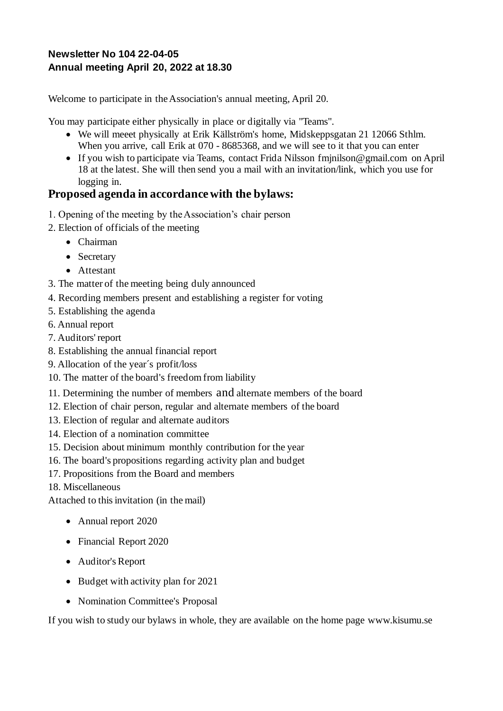### **Newsletter No 104 22-04-05 Annual meeting April 20, 2022 at 18.30**

Welcome to participate in the Association's annual meeting, April 20.

You may participate either physically in place or digitally via "Teams".

- We will meeet physically at Erik Källström's home, Midskeppsgatan 21 12066 Sthlm. When you arrive, call Erik at 070 - 8685368, and we will see to it that you can enter
- If you wish to participate via Teams, contact Frida Nilsson fmjnilson@gmail.com on April 18 at the latest. She will then send you a mail with an invitation/link, which you use for logging in.

## **Proposed agenda in accordance with the bylaws:**

- 1. Opening of the meeting by the Association's chair person
- 2. Election of officials of the meeting
	- Chairman
	- Secretary
	- Attestant
- 3. The matter of the meeting being duly announced
- 4. Recording members present and establishing a register for voting
- 5. Establishing the agenda
- 6. Annual report
- 7. Auditors' report
- 8. Establishing the annual financial report
- 9. Allocation of the year´s profit/loss
- 10. The matter of the board's freedom from liability
- 11. Determining the number of members and alternate members of the board
- 12. Election of chair person, regular and alternate members of the board
- 13. Election of regular and alternate auditors
- 14. Election of a nomination committee
- 15. Decision about minimum monthly contribution for the year
- 16. The board's propositions regarding activity plan and budget
- 17. Propositions from the Board and members

18. Miscellaneous

Attached to this invitation (in the mail)

- Annual report 2020
- Financial Report 2020
- Auditor's Report
- Budget with activity plan for 2021
- Nomination Committee's Proposal

If you wish to study our bylaws in whole, they are available on the home page www.kisumu.se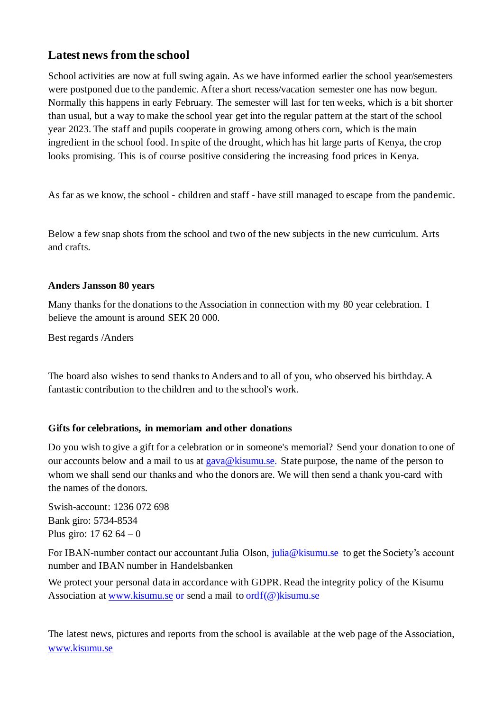# **Latest news from the school**

School activities are now at full swing again. As we have informed earlier the school year/semesters were postponed due to the pandemic. After a short recess/vacation semester one has now begun. Normally this happens in early February. The semester will last for ten weeks, which is a bit shorter than usual, but a way to make the school year get into the regular pattern at the start of the school year 2023. The staff and pupils cooperate in growing among others corn, which is the main ingredient in the school food. In spite of the drought, which has hit large parts of Kenya, the crop looks promising. This is of course positive considering the increasing food prices in Kenya.

As far as we know, the school - children and staff - have still managed to escape from the pandemic.

Below a few snap shots from the school and two of the new subjects in the new curriculum. Arts and crafts.

#### **Anders Jansson 80 years**

Many thanks for the donations to the Association in connection with my 80 year celebration. I believe the amount is around SEK 20 000.

Best regards /Anders

The board also wishes to send thanks to Anders and to all of you, who observed his birthday. A fantastic contribution to the children and to the school's work.

#### **Gifts for celebrations, in memoriam and other donations**

Do you wish to give a gift for a celebration or in someone's memorial? Send your donation to one of our accounts below and a mail to us a[t gava@kisumu.se.](mailto:gava@kisumu.se) State purpose, the name of the person to whom we shall send our thanks and who the donors are. We will then send a thank you-card with the names of the donors.

Swish-account: 1236 072 698 Bank giro: 5734-8534 Plus giro:  $17,62,64 - 0$ 

For IBAN-number contact our accountant Julia Olson, julia@kisumu.se to get the Society's account number and IBAN number in Handelsbanken

We protect your personal data in accordance with GDPR. Read the integrity policy of the Kisumu Association at [www.kisumu.se](http://www.kisumu.se/) or send a mail to ordf(@)kisumu.se

The latest news, pictures and reports from the school is available at the web page of the Association, [www.kisumu.se](http://www.kisumu.se/)